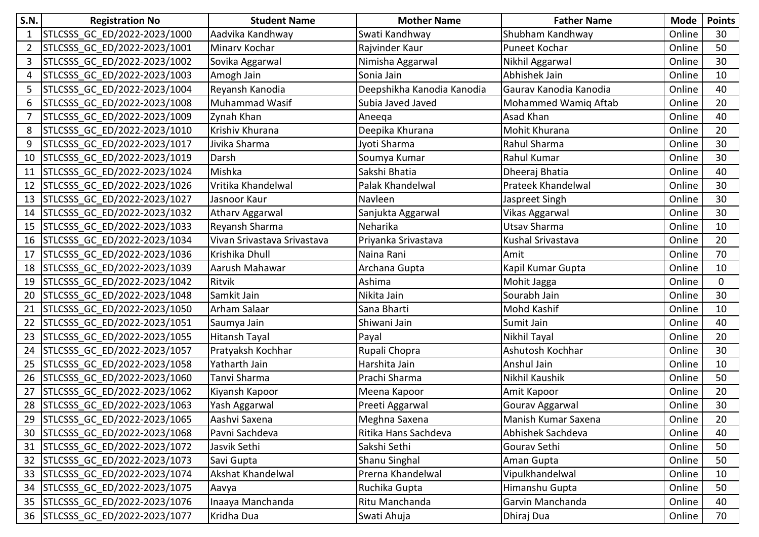| <b>S.N.</b>  | <b>Registration No</b>          | <b>Student Name</b>         | <b>Mother Name</b>         | <b>Father Name</b>        | <b>Mode</b> | <b>Points</b> |
|--------------|---------------------------------|-----------------------------|----------------------------|---------------------------|-------------|---------------|
| $\mathbf{1}$ | STLCSSS_GC_ED/2022-2023/1000    | Aadvika Kandhway            | Swati Kandhway             | Shubham Kandhway          | Online      | 30            |
|              | STLCSSS GC ED/2022-2023/1001    | Minary Kochar               | Rajvinder Kaur             | Puneet Kochar             | Online      | 50            |
| 3            | STLCSSS GC ED/2022-2023/1002    | Sovika Aggarwal             | Nimisha Aggarwal           | Nikhil Aggarwal           | Online      | 30            |
| 4            | STLCSSS GC ED/2022-2023/1003    | Amogh Jain                  | Sonia Jain                 | Abhishek Jain             | Online      | 10            |
|              | STLCSSS GC ED/2022-2023/1004    | Reyansh Kanodia             | Deepshikha Kanodia Kanodia | Gaurav Kanodia Kanodia    | Online      | 40            |
| 6            | STLCSSS GC ED/2022-2023/1008    | Muhammad Wasif              | Subia Javed Javed          | Mohammed Wamiq Aftab      | Online      | 20            |
|              | STLCSSS GC ED/2022-2023/1009    | Zynah Khan                  | Aneega                     | Asad Khan                 | Online      | 40            |
| 8            | STLCSSS GC ED/2022-2023/1010    | Krishiv Khurana             | Deepika Khurana            | Mohit Khurana             | Online      | 20            |
| 9            | STLCSSS GC ED/2022-2023/1017    | Jivika Sharma               | Jyoti Sharma               | Rahul Sharma              | Online      | 30            |
| 10           | STLCSSS GC ED/2022-2023/1019    | Darsh                       | Soumya Kumar               | Rahul Kumar               | Online      | 30            |
| 11           | STLCSSS GC ED/2022-2023/1024    | Mishka                      | Sakshi Bhatia              | Dheeraj Bhatia            | Online      | 40            |
| 12           | STLCSSS_GC_ED/2022-2023/1026    | Vritika Khandelwal          | Palak Khandelwal           | <b>Prateek Khandelwal</b> | Online      | 30            |
| 13           | STLCSSS GC ED/2022-2023/1027    | Jasnoor Kaur                | Navleen                    | Jaspreet Singh            | Online      | 30            |
| 14           | STLCSSS GC ED/2022-2023/1032    | <b>Atharv Aggarwal</b>      | Sanjukta Aggarwal          | Vikas Aggarwal            | Online      | 30            |
| 15           | STLCSSS GC ED/2022-2023/1033    | Reyansh Sharma              | Neharika                   | Utsav Sharma              | Online      | 10            |
| 16           | STLCSSS GC ED/2022-2023/1034    | Vivan Srivastava Srivastava | Priyanka Srivastava        | Kushal Srivastava         | Online      | 20            |
| 17           | STLCSSS GC ED/2022-2023/1036    | Krishika Dhull              | Naina Rani                 | Amit                      | Online      | 70            |
| 18           | STLCSSS GC ED/2022-2023/1039    | Aarush Mahawar              | Archana Gupta              | Kapil Kumar Gupta         | Online      | 10            |
| 19           | STLCSSS GC ED/2022-2023/1042    | Ritvik                      | Ashima                     | Mohit Jagga               | Online      | 0             |
| 20           | STLCSSS GC ED/2022-2023/1048    | Samkit Jain                 | Nikita Jain                | Sourabh Jain              | Online      | 30            |
| 21           | STLCSSS_GC_ED/2022-2023/1050    | Arham Salaar                | Sana Bharti                | <b>Mohd Kashif</b>        | Online      | 10            |
| 22           | STLCSSS GC ED/2022-2023/1051    | Saumya Jain                 | Shiwani Jain               | Sumit Jain                | Online      | 40            |
| 23           | STLCSSS GC ED/2022-2023/1055    | <b>Hitansh Tayal</b>        | Payal                      | Nikhil Tayal              | Online      | 20            |
| 24           | STLCSSS_GC_ED/2022-2023/1057    | Pratyaksh Kochhar           | Rupali Chopra              | Ashutosh Kochhar          | Online      | 30            |
| 25           | STLCSSS GC ED/2022-2023/1058    | Yatharth Jain               | Harshita Jain              | Anshul Jain               | Online      | 10            |
| 26           | STLCSSS_GC_ED/2022-2023/1060    | Tanvi Sharma                | Prachi Sharma              | Nikhil Kaushik            | Online      | 50            |
| 27           | STLCSSS GC ED/2022-2023/1062    | Kiyansh Kapoor              | Meena Kapoor               | Amit Kapoor               | Online      | 20            |
| 28           | STLCSSS_GC_ED/2022-2023/1063    | Yash Aggarwal               | Preeti Aggarwal            | Gourav Aggarwal           | Online      | 30            |
| 29           | STLCSSS_GC_ED/2022-2023/1065    | Aashvi Saxena               | Meghna Saxena              | Manish Kumar Saxena       | Online      | 20            |
|              | 30 STLCSSS GC ED/2022-2023/1068 | Pavni Sachdeva              | Ritika Hans Sachdeva       | Abhishek Sachdeva         | Online      | 40            |
| 31           | STLCSSS GC ED/2022-2023/1072    | Jasvik Sethi                | Sakshi Sethi               | Gourav Sethi              | Online      | 50            |
| 32           | STLCSSS GC ED/2022-2023/1073    | Savi Gupta                  | Shanu Singhal              | Aman Gupta                | Online      | 50            |
| 33           | STLCSSS GC ED/2022-2023/1074    | Akshat Khandelwal           | Prerna Khandelwal          | Vipulkhandelwal           | Online      | 10            |
| 34           | STLCSSS GC ED/2022-2023/1075    | Aavya                       | Ruchika Gupta              | Himanshu Gupta            | Online      | 50            |
| 35           | STLCSSS GC ED/2022-2023/1076    | Inaaya Manchanda            | Ritu Manchanda             | Garvin Manchanda          | Online      | 40            |
|              | 36 STLCSSS GC ED/2022-2023/1077 | Kridha Dua                  | Swati Ahuja                | Dhiraj Dua                | Online      | 70            |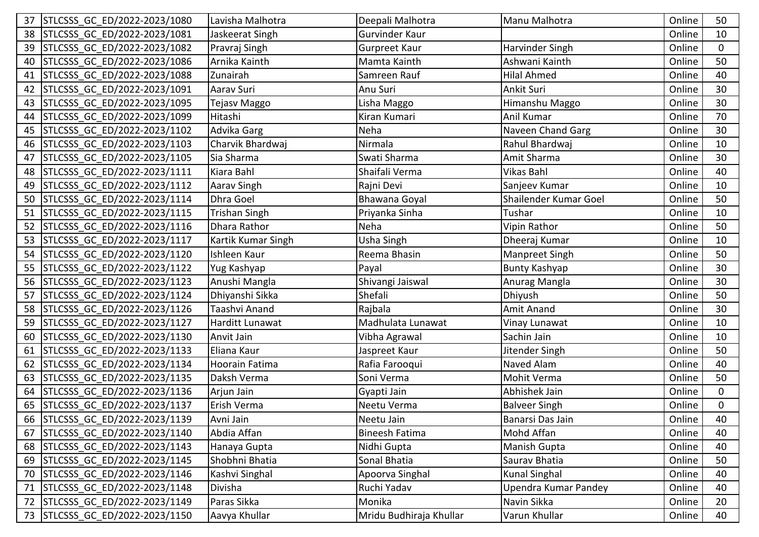| 37 | STLCSSS GC ED/2022-2023/1080    | Lavisha Malhotra     | Deepali Malhotra        | Manu Malhotra         | Online | 50           |
|----|---------------------------------|----------------------|-------------------------|-----------------------|--------|--------------|
| 38 | STLCSSS GC ED/2022-2023/1081    | Jaskeerat Singh      | Gurvinder Kaur          |                       | Online | 10           |
| 39 | STLCSSS GC ED/2022-2023/1082    | Pravraj Singh        | <b>Gurpreet Kaur</b>    | Harvinder Singh       | Online | 0            |
| 40 | STLCSSS GC ED/2022-2023/1086    | Arnika Kainth        | Mamta Kainth            | Ashwani Kainth        | Online | 50           |
| 41 | STLCSSS GC ED/2022-2023/1088    | Zunairah             | Samreen Rauf            | <b>Hilal Ahmed</b>    | Online | 40           |
| 42 | STLCSSS GC ED/2022-2023/1091    | Aarav Suri           | Anu Suri                | Ankit Suri            | Online | 30           |
| 43 | STLCSSS GC ED/2022-2023/1095    | Tejasv Maggo         | Lisha Maggo             | Himanshu Maggo        | Online | 30           |
| 44 | STLCSSS GC ED/2022-2023/1099    | Hitashi              | Kiran Kumari            | Anil Kumar            | Online | 70           |
| 45 | STLCSSS GC ED/2022-2023/1102    | <b>Advika Garg</b>   | Neha                    | Naveen Chand Garg     | Online | 30           |
| 46 | STLCSSS GC ED/2022-2023/1103    | Charvik Bhardwaj     | Nirmala                 | Rahul Bhardwaj        | Online | 10           |
| 47 | STLCSSS GC ED/2022-2023/1105    | Sia Sharma           | Swati Sharma            | Amit Sharma           | Online | 30           |
| 48 | STLCSSS GC ED/2022-2023/1111    | Kiara Bahl           | Shaifali Verma          | Vikas Bahl            | Online | 40           |
| 49 | STLCSSS GC ED/2022-2023/1112    | Aarav Singh          | Rajni Devi              | Sanjeev Kumar         | Online | 10           |
| 50 | STLCSSS GC ED/2022-2023/1114    | Dhra Goel            | Bhawana Goyal           | Shailender Kumar Goel | Online | 50           |
| 51 | STLCSSS GC ED/2022-2023/1115    | <b>Trishan Singh</b> | Priyanka Sinha          | Tushar                | Online | 10           |
| 52 | STLCSSS GC ED/2022-2023/1116    | Dhara Rathor         | Neha                    | Vipin Rathor          | Online | 50           |
| 53 | STLCSSS GC ED/2022-2023/1117    | Kartik Kumar Singh   | Usha Singh              | Dheeraj Kumar         | Online | 10           |
| 54 | STLCSSS GC ED/2022-2023/1120    | Ishleen Kaur         | Reema Bhasin            | Manpreet Singh        | Online | 50           |
| 55 | STLCSSS GC ED/2022-2023/1122    | Yug Kashyap          | Payal                   | <b>Bunty Kashyap</b>  | Online | 30           |
| 56 | STLCSSS GC ED/2022-2023/1123    | Anushi Mangla        | Shivangi Jaiswal        | Anurag Mangla         | Online | 30           |
| 57 | STLCSSS GC ED/2022-2023/1124    | Dhiyanshi Sikka      | Shefali                 | Dhiyush               | Online | 50           |
| 58 | STLCSSS GC ED/2022-2023/1126    | Taashvi Anand        | Rajbala                 | <b>Amit Anand</b>     | Online | 30           |
| 59 | STLCSSS GC ED/2022-2023/1127    | Harditt Lunawat      | Madhulata Lunawat       | Vinay Lunawat         | Online | 10           |
| 60 | STLCSSS GC ED/2022-2023/1130    | Anvit Jain           | Vibha Agrawal           | Sachin Jain           | Online | 10           |
| 61 | STLCSSS GC ED/2022-2023/1133    | Eliana Kaur          | Jaspreet Kaur           | Jitender Singh        | Online | 50           |
| 62 | STLCSSS GC ED/2022-2023/1134    | Hoorain Fatima       | Rafia Farooqui          | Naved Alam            | Online | 40           |
| 63 | STLCSSS GC ED/2022-2023/1135    | Daksh Verma          | Soni Verma              | Mohit Verma           | Online | 50           |
| 64 | STLCSSS GC ED/2022-2023/1136    | Arjun Jain           | Gyapti Jain             | Abhishek Jain         | Online | $\mathbf{0}$ |
| 65 | STLCSSS GC ED/2022-2023/1137    | Erish Verma          | Neetu Verma             | <b>Balveer Singh</b>  | Online | 0            |
|    | 66 STLCSSS_GC_ED/2022-2023/1139 | Avni Jain            | Neetu Jain              | Banarsi Das Jain      | Online | 40           |
| 67 | STLCSSS GC ED/2022-2023/1140    | Abdia Affan          | <b>Bineesh Fatima</b>   | Mohd Affan            | Online | 40           |
| 68 | STLCSSS GC ED/2022-2023/1143    | Hanaya Gupta         | Nidhi Gupta             | Manish Gupta          | Online | 40           |
| 69 | STLCSSS GC ED/2022-2023/1145    | Shobhni Bhatia       | Sonal Bhatia            | Saurav Bhatia         | Online | 50           |
| 70 | STLCSSS GC ED/2022-2023/1146    | Kashvi Singhal       | Apoorva Singhal         | <b>Kunal Singhal</b>  | Online | 40           |
| 71 | STLCSSS GC ED/2022-2023/1148    | Divisha              | Ruchi Yadav             | Upendra Kumar Pandey  | Online | 40           |
| 72 | STLCSSS GC ED/2022-2023/1149    | Paras Sikka          | Monika                  | Navin Sikka           | Online | 20           |
| 73 | STLCSSS GC ED/2022-2023/1150    | Aavya Khullar        | Mridu Budhiraja Khullar | Varun Khullar         | Online | 40           |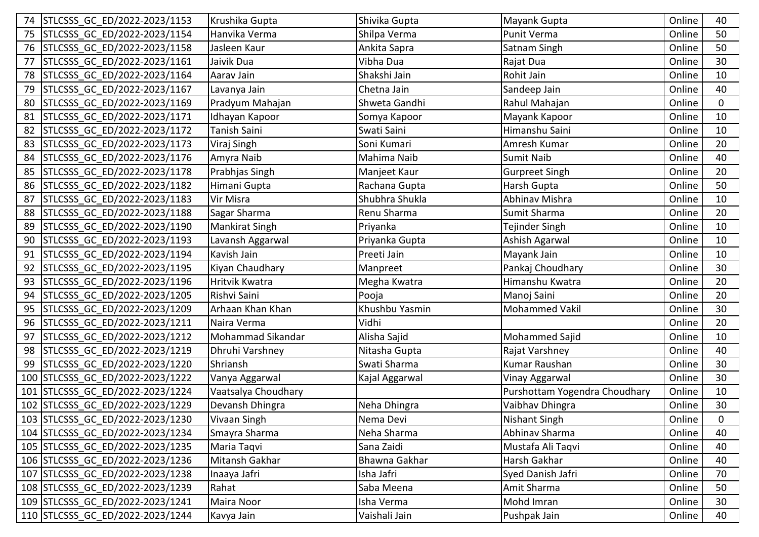|    | STLCSSS GC ED/2022-2023/1153     | Krushika Gupta        | Shivika Gupta        | Mayank Gupta                  | Online | 40          |
|----|----------------------------------|-----------------------|----------------------|-------------------------------|--------|-------------|
| 75 | STLCSSS GC ED/2022-2023/1154     | Hanvika Verma         | Shilpa Verma         | <b>Punit Verma</b>            | Online | 50          |
| 76 | STLCSSS GC ED/2022-2023/1158     | Jasleen Kaur          | Ankita Sapra         | Satnam Singh                  | Online | 50          |
| 77 | STLCSSS GC ED/2022-2023/1161     | Jaivik Dua            | Vibha Dua            | Rajat Dua                     | Online | 30          |
| 78 | STLCSSS GC ED/2022-2023/1164     | Aarav Jain            | Shakshi Jain         | Rohit Jain                    | Online | 10          |
| 79 | STLCSSS GC ED/2022-2023/1167     | Lavanya Jain          | Chetna Jain          | Sandeep Jain                  | Online | 40          |
| 80 | STLCSSS_GC_ED/2022-2023/1169     | Pradyum Mahajan       | Shweta Gandhi        | Rahul Mahajan                 | Online | $\mathbf 0$ |
| 81 | STLCSSS GC ED/2022-2023/1171     | Idhayan Kapoor        | Somya Kapoor         | Mayank Kapoor                 | Online | 10          |
| 82 | STLCSSS GC ED/2022-2023/1172     | Tanish Saini          | Swati Saini          | Himanshu Saini                | Online | 10          |
| 83 | STLCSSS GC ED/2022-2023/1173     | Viraj Singh           | Soni Kumari          | Amresh Kumar                  | Online | 20          |
| 84 | STLCSSS_GC_ED/2022-2023/1176     | Amyra Naib            | Mahima Naib          | Sumit Naib                    | Online | 40          |
| 85 | STLCSSS GC ED/2022-2023/1178     | Prabhjas Singh        | Manjeet Kaur         | <b>Gurpreet Singh</b>         | Online | 20          |
| 86 | STLCSSS GC ED/2022-2023/1182     | Himani Gupta          | Rachana Gupta        | Harsh Gupta                   | Online | 50          |
| 87 | STLCSSS GC ED/2022-2023/1183     | Vir Misra             | Shubhra Shukla       | Abhinav Mishra                | Online | 10          |
| 88 | STLCSSS GC ED/2022-2023/1188     | Sagar Sharma          | Renu Sharma          | Sumit Sharma                  | Online | 20          |
| 89 | STLCSSS GC ED/2022-2023/1190     | <b>Mankirat Singh</b> | Priyanka             | Tejinder Singh                | Online | 10          |
| 90 | STLCSSS GC ED/2022-2023/1193     | Lavansh Aggarwal      | Priyanka Gupta       | Ashish Agarwal                | Online | 10          |
| 91 | STLCSSS GC ED/2022-2023/1194     | Kavish Jain           | Preeti Jain          | Mayank Jain                   | Online | 10          |
| 92 | STLCSSS GC ED/2022-2023/1195     | Kiyan Chaudhary       | Manpreet             | Pankaj Choudhary              | Online | 30          |
| 93 | STLCSSS GC ED/2022-2023/1196     | Hritvik Kwatra        | Megha Kwatra         | Himanshu Kwatra               | Online | 20          |
| 94 | STLCSSS GC ED/2022-2023/1205     | Rishvi Saini          | Pooja                | Manoj Saini                   | Online | 20          |
| 95 | STLCSSS GC ED/2022-2023/1209     | Arhaan Khan Khan      | Khushbu Yasmin       | <b>Mohammed Vakil</b>         | Online | 30          |
| 96 | STLCSSS GC ED/2022-2023/1211     | Naira Verma           | Vidhi                |                               | Online | 20          |
| 97 | STLCSSS_GC_ED/2022-2023/1212     | Mohammad Sikandar     | Alisha Sajid         | Mohammed Sajid                | Online | 10          |
| 98 | STLCSSS GC ED/2022-2023/1219     | Dhruhi Varshney       | Nitasha Gupta        | Rajat Varshney                | Online | 40          |
| 99 | STLCSSS GC ED/2022-2023/1220     | Shriansh              | Swati Sharma         | Kumar Raushan                 | Online | 30          |
|    | 100 STLCSSS GC ED/2022-2023/1222 | Vanya Aggarwal        | Kajal Aggarwal       | Vinay Aggarwal                | Online | 30          |
|    | 101 STLCSSS GC ED/2022-2023/1224 | Vaatsalya Choudhary   |                      | Purshottam Yogendra Choudhary | Online | 10          |
|    | 102 STLCSSS_GC_ED/2022-2023/1229 | Devansh Dhingra       | Neha Dhingra         | Vaibhav Dhingra               | Online | 30          |
|    | 103 STLCSSS_GC_ED/2022-2023/1230 | Vivaan Singh          | Nema Devi            | Nishant Singh                 | Online | $\mathbf 0$ |
|    | 104 STLCSSS GC ED/2022-2023/1234 | Smayra Sharma         | Neha Sharma          | Abhinav Sharma                | Online | 40          |
|    | 105 STLCSSS GC ED/2022-2023/1235 | Maria Taqvi           | Sana Zaidi           | Mustafa Ali Taqvi             | Online | 40          |
|    | 106 STLCSSS GC ED/2022-2023/1236 | Mitansh Gakhar        | <b>Bhawna Gakhar</b> | Harsh Gakhar                  | Online | 40          |
|    | 107 STLCSSS GC ED/2022-2023/1238 | Inaaya Jafri          | Isha Jafri           | Syed Danish Jafri             | Online | 70          |
|    | 108 STLCSSS GC ED/2022-2023/1239 | Rahat                 | Saba Meena           | Amit Sharma                   | Online | 50          |
|    | 109 STLCSSS GC ED/2022-2023/1241 | Maira Noor            | Isha Verma           | Mohd Imran                    | Online | 30          |
|    | 110 STLCSSS GC ED/2022-2023/1244 | Kavya Jain            | Vaishali Jain        | Pushpak Jain                  | Online | 40          |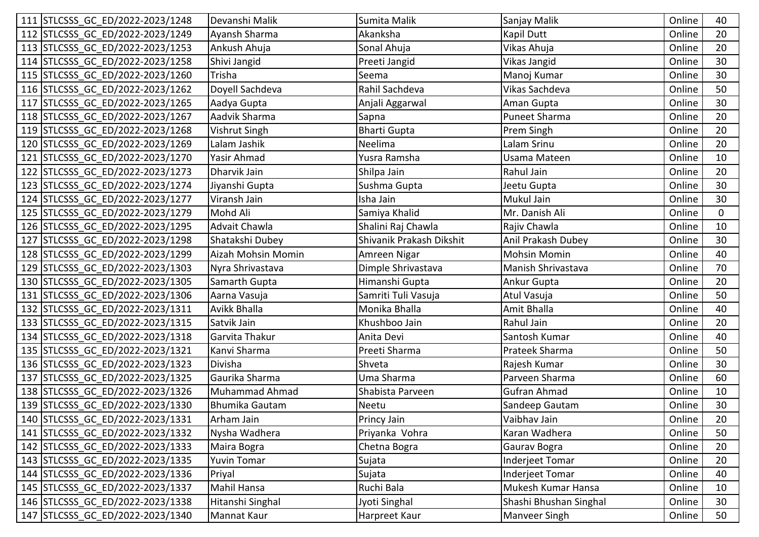| 111 STLCSSS GC ED/2022-2023/1248 | Devanshi Malik     | Sumita Malik             | Sanjay Malik           | Online | 40              |
|----------------------------------|--------------------|--------------------------|------------------------|--------|-----------------|
| 112 STLCSSS GC ED/2022-2023/1249 | Ayansh Sharma      | Akanksha                 | Kapil Dutt             | Online | 20              |
| 113 STLCSSS GC ED/2022-2023/1253 | Ankush Ahuja       | Sonal Ahuja              | Vikas Ahuja            | Online | 20              |
| 114 STLCSSS GC ED/2022-2023/1258 | Shivi Jangid       | Preeti Jangid            | Vikas Jangid           | Online | 30              |
| 115 STLCSSS GC ED/2022-2023/1260 | Trisha             | Seema                    | Manoj Kumar            | Online | 30              |
| 116 STLCSSS GC ED/2022-2023/1262 | Doyell Sachdeva    | Rahil Sachdeva           | Vikas Sachdeva         | Online | 50              |
| 117 STLCSSS GC ED/2022-2023/1265 | Aadya Gupta        | Anjali Aggarwal          | Aman Gupta             | Online | 30              |
| 118 STLCSSS GC ED/2022-2023/1267 | Aadvik Sharma      | Sapna                    | <b>Puneet Sharma</b>   | Online | 20              |
| 119 STLCSSS_GC_ED/2022-2023/1268 | Vishrut Singh      | <b>Bharti Gupta</b>      | Prem Singh             | Online | 20              |
| 120 STLCSSS GC ED/2022-2023/1269 | Lalam Jashik       | Neelima                  | Lalam Srinu            | Online | 20              |
| 121 STLCSSS_GC_ED/2022-2023/1270 | Yasir Ahmad        | Yusra Ramsha             | Usama Mateen           | Online | 10              |
| 122 STLCSSS GC ED/2022-2023/1273 | Dharvik Jain       | Shilpa Jain              | Rahul Jain             | Online | 20              |
| 123 STLCSSS GC ED/2022-2023/1274 | Jiyanshi Gupta     | Sushma Gupta             | Jeetu Gupta            | Online | 30              |
| 124 STLCSSS GC ED/2022-2023/1277 | Viransh Jain       | Isha Jain                | <b>Mukul Jain</b>      | Online | 30              |
| 125 STLCSSS GC ED/2022-2023/1279 | Mohd Ali           | Samiya Khalid            | Mr. Danish Ali         | Online | $\mathbf 0$     |
| 126 STLCSSS GC ED/2022-2023/1295 | Advait Chawla      | Shalini Raj Chawla       | Rajiv Chawla           | Online | 10              |
| 127 STLCSSS GC ED/2022-2023/1298 | Shatakshi Dubey    | Shivanik Prakash Dikshit | Anil Prakash Dubey     | Online | 30              |
| 128 STLCSSS_GC_ED/2022-2023/1299 | Aizah Mohsin Momin | Amreen Nigar             | <b>Mohsin Momin</b>    | Online | 40              |
| 129 STLCSSS GC ED/2022-2023/1303 | Nyra Shrivastava   | Dimple Shrivastava       | Manish Shrivastava     | Online | 70              |
| 130 STLCSSS GC ED/2022-2023/1305 | Samarth Gupta      | Himanshi Gupta           | Ankur Gupta            | Online | 20              |
| 131 STLCSSS GC ED/2022-2023/1306 | Aarna Vasuja       | Samriti Tuli Vasuja      | Atul Vasuja            | Online | 50              |
| 132 STLCSSS GC ED/2022-2023/1311 | Avikk Bhalla       | Monika Bhalla            | Amit Bhalla            | Online | 40              |
| 133 STLCSSS GC ED/2022-2023/1315 | Satvik Jain        | Khushboo Jain            | Rahul Jain             | Online | 20              |
| 134 STLCSSS GC ED/2022-2023/1318 | Garvita Thakur     | Anita Devi               | Santosh Kumar          | Online | 40              |
| 135 STLCSSS GC ED/2022-2023/1321 | Kanvi Sharma       | Preeti Sharma            | Prateek Sharma         | Online | 50              |
| 136 STLCSSS GC ED/2022-2023/1323 | Divisha            | Shveta                   | Rajesh Kumar           | Online | 30              |
| 137 STLCSSS GC ED/2022-2023/1325 | Gaurika Sharma     | Uma Sharma               | Parveen Sharma         | Online | 60              |
| 138 STLCSSS GC ED/2022-2023/1326 | Muhammad Ahmad     | Shabista Parveen         | <b>Gufran Ahmad</b>    | Online | 10              |
| 139 STLCSSS_GC_ED/2022-2023/1330 | Bhumika Gautam     | Neetu                    | Sandeep Gautam         | Online | 30              |
| 140 STLCSSS_GC_ED/2022-2023/1331 | Arham Jain         | Princy Jain              | Vaibhav Jain           | Online | 20 <sub>2</sub> |
| 141 STLCSSS GC ED/2022-2023/1332 | Nysha Wadhera      | Priyanka Vohra           | Karan Wadhera          | Online | 50              |
| 142 STLCSSS GC ED/2022-2023/1333 | Maira Bogra        | Chetna Bogra             | Gaurav Bogra           | Online | 20              |
| 143 STLCSSS GC ED/2022-2023/1335 | <b>Yuvin Tomar</b> | Sujata                   | Inderjeet Tomar        | Online | 20              |
| 144 STLCSSS GC ED/2022-2023/1336 | Priyal             | Sujata                   | <b>Inderjeet Tomar</b> | Online | 40              |
| 145 STLCSSS GC ED/2022-2023/1337 | Mahil Hansa        | Ruchi Bala               | Mukesh Kumar Hansa     | Online | 10              |
| 146 STLCSSS GC ED/2022-2023/1338 | Hitanshi Singhal   | Jyoti Singhal            | Shashi Bhushan Singhal | Online | 30              |
| 147 STLCSSS GC ED/2022-2023/1340 | <b>Mannat Kaur</b> | Harpreet Kaur            | Manveer Singh          | Online | 50              |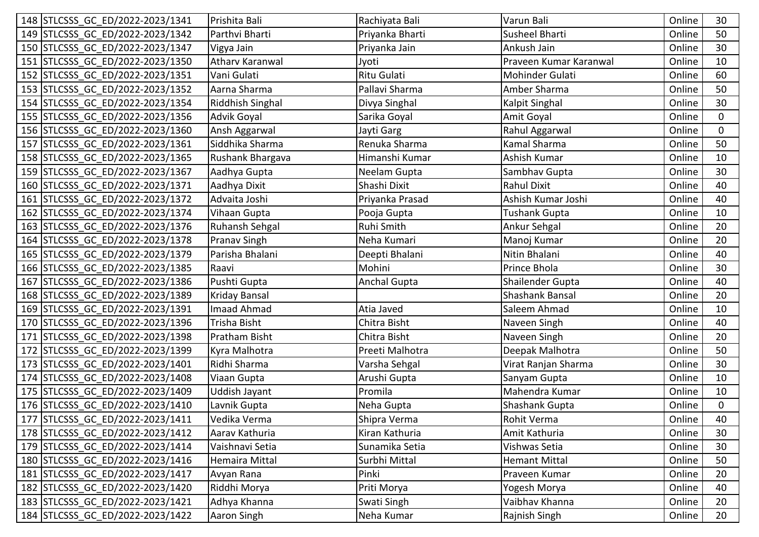| 148 STLCSSS GC ED/2022-2023/1341 | Prishita Bali          | Rachiyata Bali      | Varun Bali             | Online | 30           |
|----------------------------------|------------------------|---------------------|------------------------|--------|--------------|
| 149 STLCSSS GC ED/2022-2023/1342 | Parthvi Bharti         | Priyanka Bharti     | Susheel Bharti         | Online | 50           |
| 150 STLCSSS GC ED/2022-2023/1347 | Vigya Jain             | Priyanka Jain       | Ankush Jain            | Online | 30           |
| 151 STLCSSS GC ED/2022-2023/1350 | <b>Atharv Karanwal</b> | Jyoti               | Praveen Kumar Karanwal | Online | 10           |
| 152 STLCSSS GC ED/2022-2023/1351 | Vani Gulati            | <b>Ritu Gulati</b>  | Mohinder Gulati        | Online | 60           |
| 153 STLCSSS GC ED/2022-2023/1352 | Aarna Sharma           | Pallavi Sharma      | Amber Sharma           | Online | 50           |
| 154 STLCSSS GC ED/2022-2023/1354 | Riddhish Singhal       | Divya Singhal       | Kalpit Singhal         | Online | 30           |
| 155 STLCSSS GC ED/2022-2023/1356 | Advik Goyal            | Sarika Goyal        | Amit Goyal             | Online | $\mathbf{0}$ |
| 156 STLCSSS GC ED/2022-2023/1360 | Ansh Aggarwal          | Jayti Garg          | Rahul Aggarwal         | Online | $\Omega$     |
| 157 STLCSSS GC ED/2022-2023/1361 | Siddhika Sharma        | Renuka Sharma       | Kamal Sharma           | Online | 50           |
| 158 STLCSSS GC ED/2022-2023/1365 | Rushank Bhargava       | Himanshi Kumar      | Ashish Kumar           | Online | 10           |
| 159 STLCSSS GC ED/2022-2023/1367 | Aadhya Gupta           | Neelam Gupta        | Sambhav Gupta          | Online | 30           |
| 160 STLCSSS GC ED/2022-2023/1371 | Aadhya Dixit           | Shashi Dixit        | <b>Rahul Dixit</b>     | Online | 40           |
| 161 STLCSSS GC ED/2022-2023/1372 | Advaita Joshi          | Priyanka Prasad     | Ashish Kumar Joshi     | Online | 40           |
| 162 STLCSSS GC ED/2022-2023/1374 | Vihaan Gupta           | Pooja Gupta         | <b>Tushank Gupta</b>   | Online | 10           |
| 163 STLCSSS GC ED/2022-2023/1376 | Ruhansh Sehgal         | Ruhi Smith          | Ankur Sehgal           | Online | 20           |
| 164 STLCSSS GC ED/2022-2023/1378 | <b>Pranav Singh</b>    | Neha Kumari         | Manoj Kumar            | Online | 20           |
| 165 STLCSSS GC ED/2022-2023/1379 | Parisha Bhalani        | Deepti Bhalani      | Nitin Bhalani          | Online | 40           |
| 166 STLCSSS GC ED/2022-2023/1385 | Raavi                  | Mohini              | Prince Bhola           | Online | 30           |
| 167 STLCSSS GC ED/2022-2023/1386 | Pushti Gupta           | <b>Anchal Gupta</b> | Shailender Gupta       | Online | 40           |
| 168 STLCSSS GC ED/2022-2023/1389 | <b>Kriday Bansal</b>   |                     | Shashank Bansal        | Online | 20           |
| 169 STLCSSS GC ED/2022-2023/1391 | Imaad Ahmad            | Atia Javed          | Saleem Ahmad           | Online | 10           |
| 170 STLCSSS GC ED/2022-2023/1396 | Trisha Bisht           | Chitra Bisht        | Naveen Singh           | Online | 40           |
| 171 STLCSSS GC ED/2022-2023/1398 | Pratham Bisht          | Chitra Bisht        | Naveen Singh           | Online | 20           |
| 172 STLCSSS GC ED/2022-2023/1399 | Kyra Malhotra          | Preeti Malhotra     | Deepak Malhotra        | Online | 50           |
| 173 STLCSSS GC ED/2022-2023/1401 | Ridhi Sharma           | Varsha Sehgal       | Virat Ranjan Sharma    | Online | 30           |
| 174 STLCSSS GC ED/2022-2023/1408 | Viaan Gupta            | Arushi Gupta        | Sanyam Gupta           | Online | 10           |
| 175 STLCSSS GC ED/2022-2023/1409 | <b>Uddish Jayant</b>   | Promila             | Mahendra Kumar         | Online | 10           |
| 176 STLCSSS GC ED/2022-2023/1410 | Lavnik Gupta           | Neha Gupta          | <b>Shashank Gupta</b>  | Online | $\mathbf 0$  |
| 177 STLCSSS_GC_ED/2022-2023/1411 | Vedika Verma           | Shipra Verma        | Rohit Verma            | Online | 40           |
| 178 STLCSSS GC ED/2022-2023/1412 | Aarav Kathuria         | Kiran Kathuria      | Amit Kathuria          | Online | 30           |
| 179 STLCSSS GC ED/2022-2023/1414 | Vaishnavi Setia        | Sunamika Setia      | Vishwas Setia          | Online | 30           |
| 180 STLCSSS GC ED/2022-2023/1416 | <b>Hemaira Mittal</b>  | Surbhi Mittal       | <b>Hemant Mittal</b>   | Online | 50           |
| 181 STLCSSS GC ED/2022-2023/1417 | Avyan Rana             | Pinki               | Praveen Kumar          | Online | 20           |
| 182 STLCSSS GC ED/2022-2023/1420 | Riddhi Morya           | Priti Morya         | Yogesh Morya           | Online | 40           |
| 183 STLCSSS GC ED/2022-2023/1421 | Adhya Khanna           | Swati Singh         | Vaibhav Khanna         | Online | 20           |
| 184 STLCSSS GC ED/2022-2023/1422 | Aaron Singh            | Neha Kumar          | Rajnish Singh          | Online | 20           |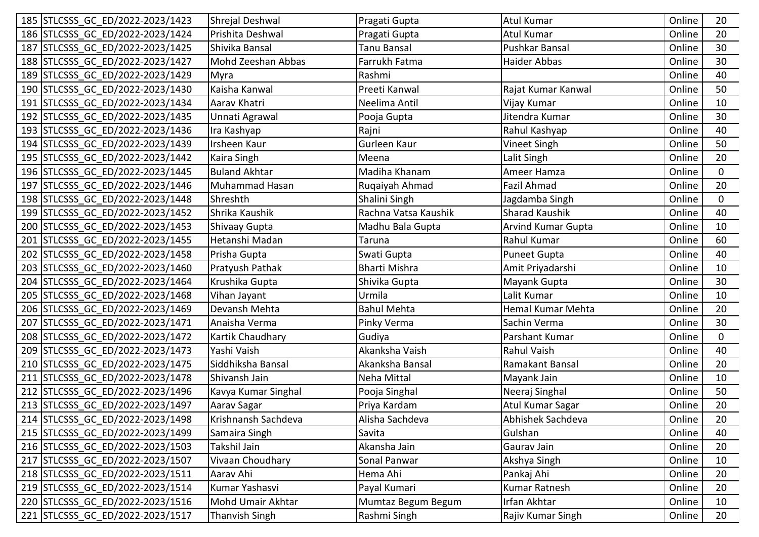| 185 STLCSSS GC ED/2022-2023/1423 | Shrejal Deshwal       | Pragati Gupta        | <b>Atul Kumar</b>         | Online | 20              |
|----------------------------------|-----------------------|----------------------|---------------------------|--------|-----------------|
| 186 STLCSSS GC ED/2022-2023/1424 | Prishita Deshwal      | Pragati Gupta        | <b>Atul Kumar</b>         | Online | 20              |
| 187 STLCSSS GC ED/2022-2023/1425 | Shivika Bansal        | <b>Tanu Bansal</b>   | Pushkar Bansal            | Online | 30              |
| 188 STLCSSS GC ED/2022-2023/1427 | Mohd Zeeshan Abbas    | Farrukh Fatma        | Haider Abbas              | Online | 30              |
| 189 STLCSSS GC ED/2022-2023/1429 | Myra                  | Rashmi               |                           | Online | 40              |
| 190 STLCSSS GC ED/2022-2023/1430 | Kaisha Kanwal         | Preeti Kanwal        | Rajat Kumar Kanwal        | Online | 50              |
| 191 STLCSSS GC ED/2022-2023/1434 | Aarav Khatri          | Neelima Antil        | Vijay Kumar               | Online | 10              |
| 192 STLCSSS GC ED/2022-2023/1435 | Unnati Agrawal        | Pooja Gupta          | Jitendra Kumar            | Online | 30              |
| 193 STLCSSS GC ED/2022-2023/1436 | Ira Kashyap           | Rajni                | Rahul Kashyap             | Online | 40              |
| 194 STLCSSS GC ED/2022-2023/1439 | Irsheen Kaur          | Gurleen Kaur         | Vineet Singh              | Online | 50              |
| 195 STLCSSS_GC_ED/2022-2023/1442 | Kaira Singh           | Meena                | Lalit Singh               | Online | 20              |
| 196 STLCSSS GC ED/2022-2023/1445 | <b>Buland Akhtar</b>  | Madiha Khanam        | Ameer Hamza               | Online | $\mathbf 0$     |
| 197 STLCSSS GC ED/2022-2023/1446 | <b>Muhammad Hasan</b> | Ruqaiyah Ahmad       | <b>Fazil Ahmad</b>        | Online | 20              |
| 198 STLCSSS GC ED/2022-2023/1448 | Shreshth              | Shalini Singh        | Jagdamba Singh            | Online | $\mathbf 0$     |
| 199 STLCSSS GC ED/2022-2023/1452 | Shrika Kaushik        | Rachna Vatsa Kaushik | <b>Sharad Kaushik</b>     | Online | 40              |
| 200 STLCSSS GC ED/2022-2023/1453 | Shivaay Gupta         | Madhu Bala Gupta     | <b>Arvind Kumar Gupta</b> | Online | 10              |
| 201 STLCSSS GC ED/2022-2023/1455 | Hetanshi Madan        | Taruna               | Rahul Kumar               | Online | 60              |
| 202 STLCSSS_GC_ED/2022-2023/1458 | Prisha Gupta          | Swati Gupta          | <b>Puneet Gupta</b>       | Online | 40              |
| 203 STLCSSS GC ED/2022-2023/1460 | Pratyush Pathak       | <b>Bharti Mishra</b> | Amit Priyadarshi          | Online | 10              |
| 204 STLCSSS GC ED/2022-2023/1464 | Krushika Gupta        | Shivika Gupta        | Mayank Gupta              | Online | 30              |
| 205 STLCSSS GC ED/2022-2023/1468 | Vihan Jayant          | Urmila               | Lalit Kumar               | Online | 10              |
| 206 STLCSSS GC ED/2022-2023/1469 | Devansh Mehta         | <b>Bahul Mehta</b>   | Hemal Kumar Mehta         | Online | 20              |
| 207 STLCSSS GC ED/2022-2023/1471 | Anaisha Verma         | Pinky Verma          | Sachin Verma              | Online | 30              |
| 208 STLCSSS GC ED/2022-2023/1472 | Kartik Chaudhary      | Gudiya               | Parshant Kumar            | Online | $\mathbf 0$     |
| 209 STLCSSS GC ED/2022-2023/1473 | Yashi Vaish           | Akanksha Vaish       | <b>Rahul Vaish</b>        | Online | 40              |
| 210 STLCSSS GC ED/2022-2023/1475 | Siddhiksha Bansal     | Akanksha Bansal      | Ramakant Bansal           | Online | 20              |
| 211 STLCSSS GC ED/2022-2023/1478 | Shivansh Jain         | Neha Mittal          | Mayank Jain               | Online | 10              |
| 212 STLCSSS GC ED/2022-2023/1496 | Kavya Kumar Singhal   | Pooja Singhal        | Neeraj Singhal            | Online | 50              |
| 213 STLCSSS_GC_ED/2022-2023/1497 | Aarav Sagar           | Priya Kardam         | Atul Kumar Sagar          | Online | 20              |
| 214 STLCSSS_GC_ED/2022-2023/1498 | Krishnansh Sachdeva   | Alisha Sachdeva      | Abhishek Sachdeva         | Online | 20 <sub>2</sub> |
| 215 STLCSSS GC ED/2022-2023/1499 | Samaira Singh         | Savita               | Gulshan                   | Online | 40              |
| 216 STLCSSS GC ED/2022-2023/1503 | Takshil Jain          | Akansha Jain         | Gaurav Jain               | Online | 20              |
| 217 STLCSSS GC ED/2022-2023/1507 | Vivaan Choudhary      | Sonal Panwar         | Akshya Singh              | Online | 10              |
| 218 STLCSSS GC ED/2022-2023/1511 | Aarav Ahi             | Hema Ahi             | Pankaj Ahi                | Online | 20              |
| 219 STLCSSS GC ED/2022-2023/1514 | Kumar Yashasvi        | Payal Kumari         | <b>Kumar Ratnesh</b>      | Online | 20              |
| 220 STLCSSS GC ED/2022-2023/1516 | Mohd Umair Akhtar     | Mumtaz Begum Begum   | Irfan Akhtar              | Online | 10              |
| 221 STLCSSS GC ED/2022-2023/1517 | <b>Thanvish Singh</b> | Rashmi Singh         | Rajiv Kumar Singh         | Online | 20              |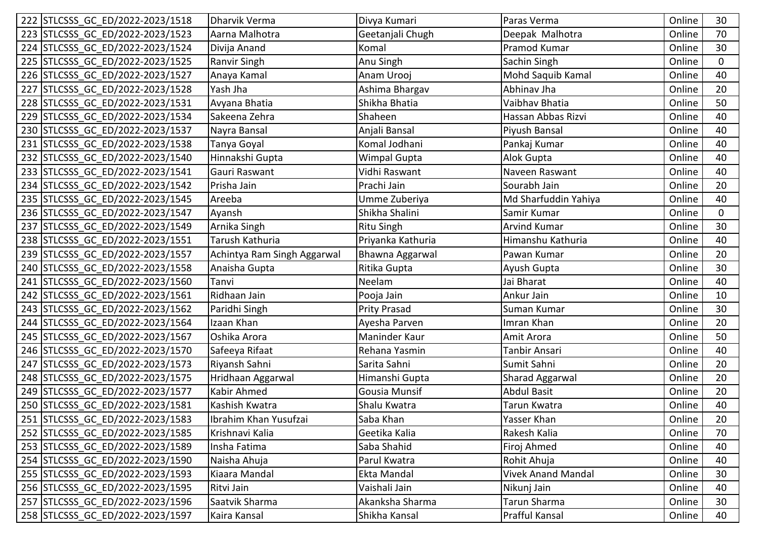| 222 STLCSSS GC ED/2022-2023/1518 | Dharvik Verma               | Divya Kumari         | Paras Verma               | Online | 30             |
|----------------------------------|-----------------------------|----------------------|---------------------------|--------|----------------|
| 223 STLCSSS GC ED/2022-2023/1523 | Aarna Malhotra              | Geetanjali Chugh     | Deepak Malhotra           | Online | 70             |
| 224 STLCSSS GC ED/2022-2023/1524 | Divija Anand                | Komal                | Pramod Kumar              | Online | 30             |
| 225 STLCSSS GC ED/2022-2023/1525 | Ranvir Singh                | Anu Singh            | Sachin Singh              | Online | $\overline{0}$ |
| 226 STLCSSS GC ED/2022-2023/1527 | Anaya Kamal                 | Anam Urooj           | Mohd Saquib Kamal         | Online | 40             |
| 227 STLCSSS GC ED/2022-2023/1528 | Yash Jha                    | Ashima Bhargav       | Abhinav Jha               | Online | 20             |
| 228 STLCSSS GC ED/2022-2023/1531 | Avyana Bhatia               | Shikha Bhatia        | Vaibhav Bhatia            | Online | 50             |
| 229 STLCSSS GC ED/2022-2023/1534 | Sakeena Zehra               | Shaheen              | Hassan Abbas Rizvi        | Online | 40             |
| 230 STLCSSS GC ED/2022-2023/1537 | Nayra Bansal                | Anjali Bansal        | Piyush Bansal             | Online | 40             |
| 231 STLCSSS GC ED/2022-2023/1538 | Tanya Goyal                 | Komal Jodhani        | Pankaj Kumar              | Online | 40             |
| 232 STLCSSS GC ED/2022-2023/1540 | Hinnakshi Gupta             | <b>Wimpal Gupta</b>  | Alok Gupta                | Online | 40             |
| 233 STLCSSS GC ED/2022-2023/1541 | Gauri Raswant               | Vidhi Raswant        | Naveen Raswant            | Online | 40             |
| 234 STLCSSS GC ED/2022-2023/1542 | Prisha Jain                 | Prachi Jain          | Sourabh Jain              | Online | 20             |
| 235 STLCSSS GC ED/2022-2023/1545 | Areeba                      | Umme Zuberiya        | Md Sharfuddin Yahiya      | Online | 40             |
| 236 STLCSSS GC ED/2022-2023/1547 | Ayansh                      | Shikha Shalini       | Samir Kumar               | Online | $\overline{0}$ |
| 237 STLCSSS GC ED/2022-2023/1549 | Arnika Singh                | <b>Ritu Singh</b>    | <b>Arvind Kumar</b>       | Online | 30             |
| 238 STLCSSS GC ED/2022-2023/1551 | Tarush Kathuria             | Priyanka Kathuria    | Himanshu Kathuria         | Online | 40             |
| 239 STLCSSS_GC_ED/2022-2023/1557 | Achintya Ram Singh Aggarwal | Bhawna Aggarwal      | Pawan Kumar               | Online | 20             |
| 240 STLCSSS GC ED/2022-2023/1558 | Anaisha Gupta               | Ritika Gupta         | Ayush Gupta               | Online | 30             |
| 241 STLCSSS GC ED/2022-2023/1560 | Tanvi                       | Neelam               | Jai Bharat                | Online | 40             |
| 242 STLCSSS GC ED/2022-2023/1561 | Ridhaan Jain                | Pooja Jain           | Ankur Jain                | Online | 10             |
| 243 STLCSSS GC ED/2022-2023/1562 | Paridhi Singh               | Prity Prasad         | Suman Kumar               | Online | 30             |
| 244 STLCSSS GC ED/2022-2023/1564 | Izaan Khan                  | Ayesha Parven        | Imran Khan                | Online | 20             |
| 245 STLCSSS GC ED/2022-2023/1567 | Oshika Arora                | Maninder Kaur        | Amit Arora                | Online | 50             |
| 246 STLCSSS GC ED/2022-2023/1570 | Safeeya Rifaat              | Rehana Yasmin        | Tanbir Ansari             | Online | 40             |
| 247 STLCSSS GC ED/2022-2023/1573 | Riyansh Sahni               | Sarita Sahni         | Sumit Sahni               | Online | 20             |
| 248 STLCSSS GC ED/2022-2023/1575 | Hridhaan Aggarwal           | Himanshi Gupta       | Sharad Aggarwal           | Online | 20             |
| 249 STLCSSS GC ED/2022-2023/1577 | Kabir Ahmed                 | <b>Gousia Munsif</b> | <b>Abdul Basit</b>        | Online | 20             |
| 250 STLCSSS GC ED/2022-2023/1581 | Kashish Kwatra              | Shalu Kwatra         | Tarun Kwatra              | Online | 40             |
| 251 STLCSSS_GC_ED/2022-2023/1583 | Ibrahim Khan Yusufzai       | Saba Khan            | Yasser Khan               | Online | 20             |
| 252 STLCSSS GC ED/2022-2023/1585 | Krishnavi Kalia             | Geetika Kalia        | Rakesh Kalia              | Online | 70             |
| 253 STLCSSS GC ED/2022-2023/1589 | Insha Fatima                | Saba Shahid          | Firoj Ahmed               | Online | 40             |
| 254 STLCSSS GC ED/2022-2023/1590 | Naisha Ahuja                | Parul Kwatra         | Rohit Ahuja               | Online | 40             |
| 255 STLCSSS GC ED/2022-2023/1593 | Kiaara Mandal               | Ekta Mandal          | <b>Vivek Anand Mandal</b> | Online | 30             |
| 256 STLCSSS GC ED/2022-2023/1595 | Ritvi Jain                  | Vaishali Jain        | Nikunj Jain               | Online | 40             |
| 257 STLCSSS GC ED/2022-2023/1596 | Saatvik Sharma              | Akanksha Sharma      | Tarun Sharma              | Online | 30             |
| 258 STLCSSS GC ED/2022-2023/1597 | Kaira Kansal                | Shikha Kansal        | <b>Prafful Kansal</b>     | Online | 40             |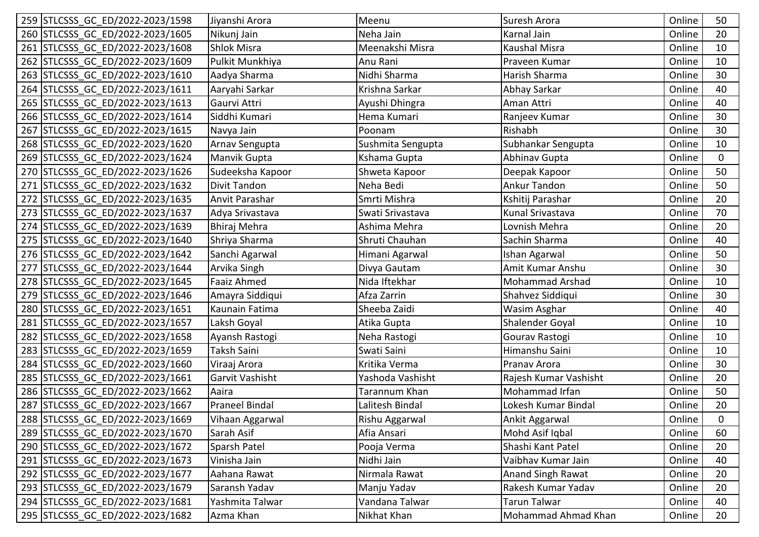| 259 STLCSSS GC ED/2022-2023/1598 | Jiyanshi Arora      | Meenu             | Suresh Arora             | Online | 50          |
|----------------------------------|---------------------|-------------------|--------------------------|--------|-------------|
| 260 STLCSSS GC ED/2022-2023/1605 | Nikunj Jain         | Neha Jain         | Karnal Jain              | Online | 20          |
| 261 STLCSSS GC ED/2022-2023/1608 | <b>Shlok Misra</b>  | Meenakshi Misra   | Kaushal Misra            | Online | 10          |
| 262 STLCSSS GC ED/2022-2023/1609 | Pulkit Munkhiya     | Anu Rani          | Praveen Kumar            | Online | 10          |
| 263 STLCSSS GC ED/2022-2023/1610 | Aadya Sharma        | Nidhi Sharma      | Harish Sharma            | Online | 30          |
| 264 STLCSSS GC ED/2022-2023/1611 | Aaryahi Sarkar      | Krishna Sarkar    | Abhay Sarkar             | Online | 40          |
| 265 STLCSSS GC ED/2022-2023/1613 | Gaurvi Attri        | Ayushi Dhingra    | Aman Attri               | Online | 40          |
| 266 STLCSSS GC ED/2022-2023/1614 | Siddhi Kumari       | Hema Kumari       | Ranjeev Kumar            | Online | 30          |
| 267 STLCSSS GC ED/2022-2023/1615 | Navya Jain          | Poonam            | Rishabh                  | Online | 30          |
| 268 STLCSSS GC ED/2022-2023/1620 | Arnav Sengupta      | Sushmita Sengupta | Subhankar Sengupta       | Online | 10          |
| 269 STLCSSS GC ED/2022-2023/1624 | Manvik Gupta        | Kshama Gupta      | Abhinav Gupta            | Online | $\Omega$    |
| 270 STLCSSS GC ED/2022-2023/1626 | Sudeeksha Kapoor    | Shweta Kapoor     | Deepak Kapoor            | Online | 50          |
| 271 STLCSSS GC ED/2022-2023/1632 | <b>Divit Tandon</b> | Neha Bedi         | <b>Ankur Tandon</b>      | Online | 50          |
| 272 STLCSSS GC ED/2022-2023/1635 | Anvit Parashar      | Smrti Mishra      | Kshitij Parashar         | Online | 20          |
| 273 STLCSSS GC ED/2022-2023/1637 | Adya Srivastava     | Swati Srivastava  | Kunal Srivastava         | Online | 70          |
| 274 STLCSSS GC ED/2022-2023/1639 | Bhiraj Mehra        | Ashima Mehra      | Lovnish Mehra            | Online | 20          |
| 275 STLCSSS GC ED/2022-2023/1640 | Shriya Sharma       | Shruti Chauhan    | Sachin Sharma            | Online | 40          |
| 276 STLCSSS GC ED/2022-2023/1642 | Sanchi Agarwal      | Himani Agarwal    | Ishan Agarwal            | Online | 50          |
| 277 STLCSSS GC ED/2022-2023/1644 | Arvika Singh        | Divya Gautam      | Amit Kumar Anshu         | Online | 30          |
| 278 STLCSSS GC ED/2022-2023/1645 | <b>Faaiz Ahmed</b>  | Nida Iftekhar     | Mohammad Arshad          | Online | 10          |
| 279 STLCSSS GC ED/2022-2023/1646 | Amayra Siddiqui     | Afza Zarrin       | Shahvez Siddiqui         | Online | 30          |
| 280 STLCSSS GC ED/2022-2023/1651 | Kaunain Fatima      | Sheeba Zaidi      | Wasim Asghar             | Online | 40          |
| 281 STLCSSS GC ED/2022-2023/1657 | Laksh Goyal         | Atika Gupta       | Shalender Goyal          | Online | 10          |
| 282 STLCSSS GC ED/2022-2023/1658 | Ayansh Rastogi      | Neha Rastogi      | Gourav Rastogi           | Online | 10          |
| 283 STLCSSS GC ED/2022-2023/1659 | Taksh Saini         | Swati Saini       | Himanshu Saini           | Online | 10          |
| 284 STLCSSS GC ED/2022-2023/1660 | Viraaj Arora        | Kritika Verma     | Pranav Arora             | Online | 30          |
| 285 STLCSSS GC ED/2022-2023/1661 | Garvit Vashisht     | Yashoda Vashisht  | Rajesh Kumar Vashisht    | Online | 20          |
| 286 STLCSSS GC ED/2022-2023/1662 | Aaira               | Tarannum Khan     | Mohammad Irfan           | Online | 50          |
| 287 STLCSSS GC ED/2022-2023/1667 | Praneel Bindal      | Lalitesh Bindal   | Lokesh Kumar Bindal      | Online | 20          |
| 288 STLCSSS_GC_ED/2022-2023/1669 | Vihaan Aggarwal     | Rishu Aggarwal    | Ankit Aggarwal           | Online | $\mathbf 0$ |
| 289 STLCSSS GC ED/2022-2023/1670 | Sarah Asif          | Afia Ansari       | Mohd Asif Iqbal          | Online | 60          |
| 290 STLCSSS GC ED/2022-2023/1672 | Sparsh Patel        | Pooja Verma       | Shashi Kant Patel        | Online | 20          |
| 291 STLCSSS GC ED/2022-2023/1673 | Vinisha Jain        | Nidhi Jain        | Vaibhav Kumar Jain       | Online | 40          |
| 292 STLCSSS GC ED/2022-2023/1677 | Aahana Rawat        | Nirmala Rawat     | <b>Anand Singh Rawat</b> | Online | 20          |
| 293 STLCSSS GC ED/2022-2023/1679 | Saransh Yadav       | Manju Yadav       | Rakesh Kumar Yadav       | Online | 20          |
| 294 STLCSSS GC ED/2022-2023/1681 | Yashmita Talwar     | Vandana Talwar    | <b>Tarun Talwar</b>      | Online | 40          |
| 295 STLCSSS GC ED/2022-2023/1682 | Azma Khan           | Nikhat Khan       | Mohammad Ahmad Khan      | Online | 20          |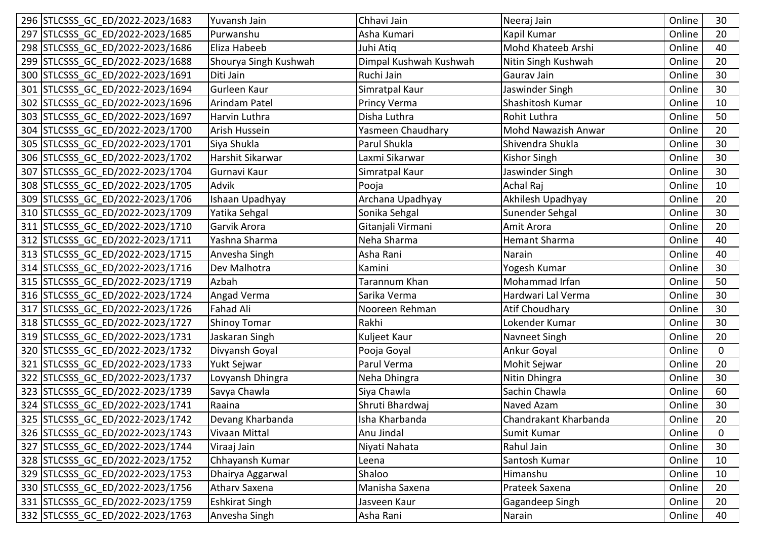|     | 296 STLCSSS GC ED/2022-2023/1683 | Yuvansh Jain          | Chhavi Jain            | Neeraj Jain           | Online | 30           |
|-----|----------------------------------|-----------------------|------------------------|-----------------------|--------|--------------|
|     | 297 STLCSSS GC ED/2022-2023/1685 | Purwanshu             | Asha Kumari            | Kapil Kumar           | Online | 20           |
|     | 298 STLCSSS GC ED/2022-2023/1686 | Eliza Habeeb          | Juhi Atiq              | Mohd Khateeb Arshi    | Online | 40           |
|     | 299 STLCSSS GC ED/2022-2023/1688 | Shourya Singh Kushwah | Dimpal Kushwah Kushwah | Nitin Singh Kushwah   | Online | 20           |
|     | 300 STLCSSS GC ED/2022-2023/1691 | Diti Jain             | Ruchi Jain             | Gaurav Jain           | Online | 30           |
|     | 301 STLCSSS GC ED/2022-2023/1694 | Gurleen Kaur          | Simratpal Kaur         | Jaswinder Singh       | Online | 30           |
|     | 302 STLCSSS GC ED/2022-2023/1696 | Arindam Patel         | Princy Verma           | Shashitosh Kumar      | Online | 10           |
|     | 303 STLCSSS GC ED/2022-2023/1697 | Harvin Luthra         | Disha Luthra           | Rohit Luthra          | Online | 50           |
|     | 304 STLCSSS GC ED/2022-2023/1700 | Arish Hussein         | Yasmeen Chaudhary      | Mohd Nawazish Anwar   | Online | 20           |
|     | 305 STLCSSS GC ED/2022-2023/1701 | Siya Shukla           | Parul Shukla           | Shivendra Shukla      | Online | 30           |
|     | 306 STLCSSS GC ED/2022-2023/1702 | Harshit Sikarwar      | Laxmi Sikarwar         | Kishor Singh          | Online | 30           |
|     | 307 STLCSSS GC ED/2022-2023/1704 | Gurnavi Kaur          | Simratpal Kaur         | Jaswinder Singh       | Online | 30           |
|     | 308 STLCSSS GC ED/2022-2023/1705 | Advik                 | Pooja                  | <b>Achal Raj</b>      | Online | 10           |
|     | 309 STLCSSS GC ED/2022-2023/1706 | Ishaan Upadhyay       | Archana Upadhyay       | Akhilesh Upadhyay     | Online | 20           |
|     | 310 STLCSSS GC ED/2022-2023/1709 | Yatika Sehgal         | Sonika Sehgal          | Sunender Sehgal       | Online | 30           |
|     | 311 STLCSSS GC ED/2022-2023/1710 | Garvik Arora          | Gitanjali Virmani      | Amit Arora            | Online | 20           |
|     | 312 STLCSSS GC ED/2022-2023/1711 | Yashna Sharma         | Neha Sharma            | <b>Hemant Sharma</b>  | Online | 40           |
|     | 313 STLCSSS GC ED/2022-2023/1715 | Anvesha Singh         | Asha Rani              | Narain                | Online | 40           |
|     | 314 STLCSSS GC ED/2022-2023/1716 | Dev Malhotra          | Kamini                 | Yogesh Kumar          | Online | 30           |
|     | 315 STLCSSS GC ED/2022-2023/1719 | Azbah                 | Tarannum Khan          | Mohammad Irfan        | Online | 50           |
|     | 316 STLCSSS GC ED/2022-2023/1724 | Angad Verma           | Sarika Verma           | Hardwari Lal Verma    | Online | 30           |
|     | 317 STLCSSS GC ED/2022-2023/1726 | Fahad Ali             | Nooreen Rehman         | <b>Atif Choudhary</b> | Online | 30           |
|     | 318 STLCSSS GC ED/2022-2023/1727 | <b>Shinoy Tomar</b>   | Rakhi                  | Lokender Kumar        | Online | 30           |
|     | 319 STLCSSS GC ED/2022-2023/1731 | Jaskaran Singh        | Kuljeet Kaur           | Navneet Singh         | Online | 20           |
|     | 320 STLCSSS GC ED/2022-2023/1732 | Divyansh Goyal        | Pooja Goyal            | Ankur Goyal           | Online | 0            |
|     | 321 STLCSSS GC ED/2022-2023/1733 | Yukt Sejwar           | Parul Verma            | Mohit Sejwar          | Online | 20           |
|     | 322 STLCSSS GC ED/2022-2023/1737 | Lovyansh Dhingra      | Neha Dhingra           | Nitin Dhingra         | Online | 30           |
|     | 323 STLCSSS GC ED/2022-2023/1739 | Savya Chawla          | Siya Chawla            | Sachin Chawla         | Online | 60           |
|     | 324 STLCSSS GC ED/2022-2023/1741 | Raaina                | Shruti Bhardwaj        | Naved Azam            | Online | 30           |
|     | 325 STLCSSS_GC_ED/2022-2023/1742 | Devang Kharbanda      | Isha Kharbanda         | Chandrakant Kharbanda | Online | 20           |
|     | 326 STLCSSS GC ED/2022-2023/1743 | Vivaan Mittal         | Anu Jindal             | Sumit Kumar           | Online | $\mathbf{0}$ |
| 327 | STLCSSS GC ED/2022-2023/1744     | Viraaj Jain           | Niyati Nahata          | Rahul Jain            | Online | 30           |
|     | 328 STLCSSS GC ED/2022-2023/1752 | Chhayansh Kumar       | Leena                  | Santosh Kumar         | Online | 10           |
|     | 329 STLCSSS GC ED/2022-2023/1753 | Dhairya Aggarwal      | Shaloo                 | Himanshu              | Online | 10           |
|     | 330 STLCSSS GC ED/2022-2023/1756 | Athary Saxena         | Manisha Saxena         | Prateek Saxena        | Online | 20           |
|     | 331 STLCSSS GC ED/2022-2023/1759 | <b>Eshkirat Singh</b> | Jasveen Kaur           | Gagandeep Singh       | Online | 20           |
|     | 332 STLCSSS GC ED/2022-2023/1763 | Anvesha Singh         | Asha Rani              | Narain                | Online | 40           |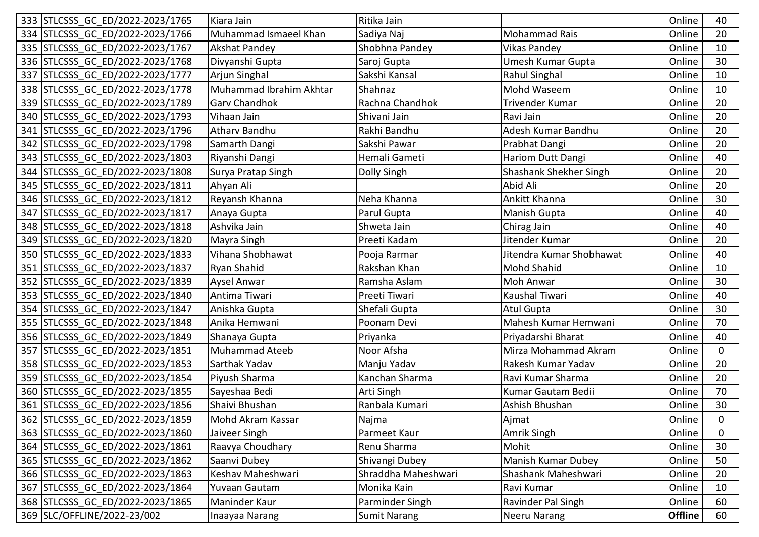| 333 STLCSSS GC ED/2022-2023/1765 | Kiara Jain              | Ritika Jain         |                          | Online         | 40           |
|----------------------------------|-------------------------|---------------------|--------------------------|----------------|--------------|
| 334 STLCSSS GC ED/2022-2023/1766 | Muhammad Ismaeel Khan   | Sadiya Naj          | <b>Mohammad Rais</b>     | Online         | 20           |
| 335 STLCSSS_GC_ED/2022-2023/1767 | <b>Akshat Pandey</b>    | Shobhna Pandey      | <b>Vikas Pandey</b>      | Online         | 10           |
| 336 STLCSSS GC ED/2022-2023/1768 | Divyanshi Gupta         | Saroj Gupta         | Umesh Kumar Gupta        | Online         | 30           |
| 337 STLCSSS GC ED/2022-2023/1777 | Arjun Singhal           | Sakshi Kansal       | Rahul Singhal            | Online         | 10           |
| 338 STLCSSS GC ED/2022-2023/1778 | Muhammad Ibrahim Akhtar | Shahnaz             | Mohd Waseem              | Online         | 10           |
| 339 STLCSSS GC ED/2022-2023/1789 | <b>Garv Chandhok</b>    | Rachna Chandhok     | Trivender Kumar          | Online         | 20           |
| 340 STLCSSS GC ED/2022-2023/1793 | Vihaan Jain             | Shivani Jain        | Ravi Jain                | Online         | 20           |
| 341 STLCSSS GC ED/2022-2023/1796 | <b>Atharv Bandhu</b>    | Rakhi Bandhu        | Adesh Kumar Bandhu       | Online         | 20           |
| 342 STLCSSS GC ED/2022-2023/1798 | Samarth Dangi           | Sakshi Pawar        | Prabhat Dangi            | Online         | 20           |
| 343 STLCSSS GC ED/2022-2023/1803 | Riyanshi Dangi          | Hemali Gameti       | Hariom Dutt Dangi        | Online         | 40           |
| 344 STLCSSS GC ED/2022-2023/1808 | Surya Pratap Singh      | Dolly Singh         | Shashank Shekher Singh   | Online         | 20           |
| 345 STLCSSS GC ED/2022-2023/1811 | Ahyan Ali               |                     | Abid Ali                 | Online         | 20           |
| 346 STLCSSS GC ED/2022-2023/1812 | Reyansh Khanna          | Neha Khanna         | Ankitt Khanna            | Online         | 30           |
| 347 STLCSSS GC ED/2022-2023/1817 | Anaya Gupta             | Parul Gupta         | Manish Gupta             | Online         | 40           |
| 348 STLCSSS_GC_ED/2022-2023/1818 | Ashvika Jain            | Shweta Jain         | Chirag Jain              | Online         | 40           |
| 349 STLCSSS GC ED/2022-2023/1820 | Mayra Singh             | Preeti Kadam        | Jitender Kumar           | Online         | 20           |
| 350 STLCSSS GC ED/2022-2023/1833 | Vihana Shobhawat        | Pooja Rarmar        | Jitendra Kumar Shobhawat | Online         | 40           |
| 351 STLCSSS GC ED/2022-2023/1837 | Ryan Shahid             | Rakshan Khan        | Mohd Shahid              | Online         | 10           |
| 352 STLCSSS_GC_ED/2022-2023/1839 | Aysel Anwar             | Ramsha Aslam        | Moh Anwar                | Online         | 30           |
| 353 STLCSSS GC ED/2022-2023/1840 | Antima Tiwari           | Preeti Tiwari       | Kaushal Tiwari           | Online         | 40           |
| 354 STLCSSS GC ED/2022-2023/1847 | Anishka Gupta           | Shefali Gupta       | <b>Atul Gupta</b>        | Online         | 30           |
| 355 STLCSSS GC ED/2022-2023/1848 | Anika Hemwani           | Poonam Devi         | Mahesh Kumar Hemwani     | Online         | 70           |
| 356 STLCSSS GC ED/2022-2023/1849 | Shanaya Gupta           | Priyanka            | Priyadarshi Bharat       | Online         | 40           |
| 357 STLCSSS GC ED/2022-2023/1851 | <b>Muhammad Ateeb</b>   | Noor Afsha          | Mirza Mohammad Akram     | Online         | 0            |
| 358 STLCSSS GC ED/2022-2023/1853 | Sarthak Yadav           | Manju Yadav         | Rakesh Kumar Yadav       | Online         | 20           |
| 359 STLCSSS GC ED/2022-2023/1854 | Piyush Sharma           | Kanchan Sharma      | Ravi Kumar Sharma        | Online         | 20           |
| 360 STLCSSS GC ED/2022-2023/1855 | Sayeshaa Bedi           | Arti Singh          | Kumar Gautam Bedii       | Online         | 70           |
| 361 STLCSSS_GC_ED/2022-2023/1856 | Shaivi Bhushan          | Ranbala Kumari      | Ashish Bhushan           | Online         | 30           |
| 362 STLCSSS_GC_ED/2022-2023/1859 | Mohd Akram Kassar       | Najma               | Ajmat                    | Online         | $\mathbf{0}$ |
| 363 STLCSSS GC ED/2022-2023/1860 | Jaiveer Singh           | Parmeet Kaur        | Amrik Singh              | Online         | 0            |
| 364 STLCSSS GC ED/2022-2023/1861 | Raavya Choudhary        | Renu Sharma         | Mohit                    | Online         | 30           |
| 365 STLCSSS GC ED/2022-2023/1862 | Saanvi Dubey            | Shivangi Dubey      | Manish Kumar Dubey       | Online         | 50           |
| 366 STLCSSS GC ED/2022-2023/1863 | Keshav Maheshwari       | Shraddha Maheshwari | Shashank Maheshwari      | Online         | 20           |
| 367 STLCSSS GC ED/2022-2023/1864 | Yuvaan Gautam           | Monika Kain         | Ravi Kumar               | Online         | 10           |
| 368 STLCSSS GC ED/2022-2023/1865 | Maninder Kaur           | Parminder Singh     | Ravinder Pal Singh       | Online         | 60           |
| 369 SLC/OFFLINE/2022-23/002      | Inaayaa Narang          | <b>Sumit Narang</b> | Neeru Narang             | <b>Offline</b> | 60           |